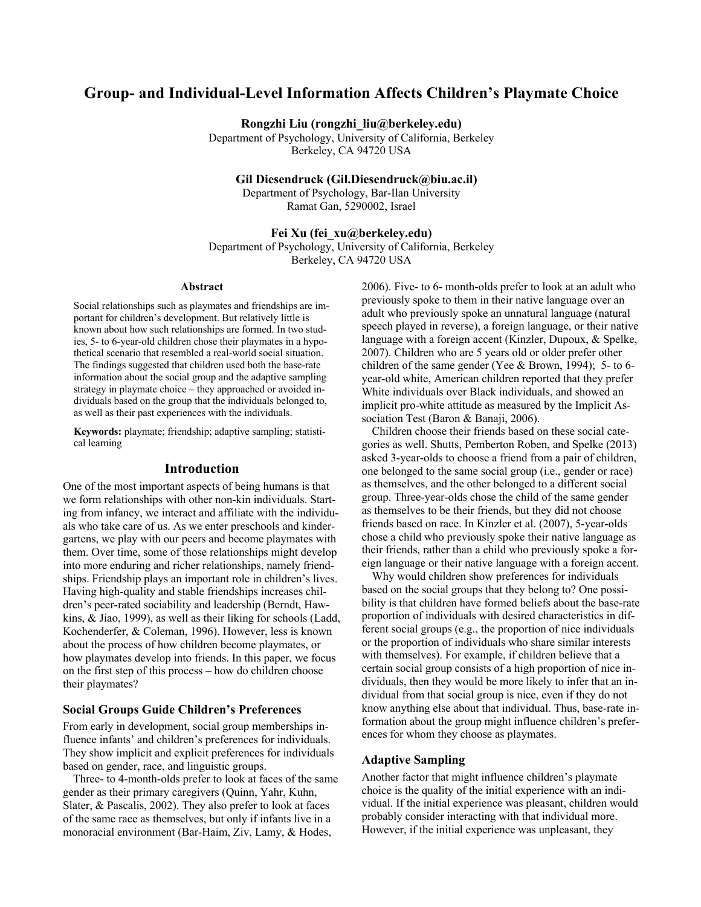# **Group- and Individual-Level Information Affects Children's Playmate Choice**

**Rongzhi Liu (rongzhi\_liu@berkeley.edu)**

Department of Psychology, University of California, Berkeley Berkeley, CA 94720 USA

**Gil Diesendruck (Gil.Diesendruck@biu.ac.il)**

Department of Psychology, Bar-Ilan University Ramat Gan, 5290002, Israel

# **Fei Xu (fei\_xu@berkeley.edu)**

Department of Psychology, University of California, Berkeley Berkeley, CA 94720 USA

#### **Abstract**

Social relationships such as playmates and friendships are important for children's development. But relatively little is known about how such relationships are formed. In two studies, 5- to 6-year-old children chose their playmates in a hypothetical scenario that resembled a real-world social situation. The findings suggested that children used both the base-rate information about the social group and the adaptive sampling strategy in playmate choice – they approached or avoided individuals based on the group that the individuals belonged to, as well as their past experiences with the individuals.

**Keywords:** playmate; friendship; adaptive sampling; statistical learning

### **Introduction**

One of the most important aspects of being humans is that we form relationships with other non-kin individuals. Starting from infancy, we interact and affiliate with the individuals who take care of us. As we enter preschools and kindergartens, we play with our peers and become playmates with them. Over time, some of those relationships might develop into more enduring and richer relationships, namely friendships. Friendship plays an important role in children's lives. Having high-quality and stable friendships increases children's peer-rated sociability and leadership (Berndt, Hawkins, & Jiao, 1999), as well as their liking for schools (Ladd, Kochenderfer, & Coleman, 1996). However, less is known about the process of how children become playmates, or how playmates develop into friends. In this paper, we focus on the first step of this process – how do children choose their playmates?

### **Social Groups Guide Children's Preferences**

From early in development, social group memberships influence infants' and children's preferences for individuals. They show implicit and explicit preferences for individuals based on gender, race, and linguistic groups.

Three- to 4-month-olds prefer to look at faces of the same gender as their primary caregivers (Quinn, Yahr, Kuhn, Slater, & Pascalis, 2002). They also prefer to look at faces of the same race as themselves, but only if infants live in a monoracial environment (Bar-Haim, Ziv, Lamy, & Hodes,

2006). Five- to 6- month-olds prefer to look at an adult who previously spoke to them in their native language over an adult who previously spoke an unnatural language (natural speech played in reverse), a foreign language, or their native language with a foreign accent (Kinzler, Dupoux, & Spelke, 2007). Children who are 5 years old or older prefer other children of the same gender (Yee & Brown, 1994); 5- to 6 year-old white, American children reported that they prefer White individuals over Black individuals, and showed an implicit pro-white attitude as measured by the Implicit Association Test (Baron & Banaji, 2006).

Children choose their friends based on these social categories as well. Shutts, Pemberton Roben, and Spelke (2013) asked 3-year-olds to choose a friend from a pair of children, one belonged to the same social group (i.e., gender or race) as themselves, and the other belonged to a different social group. Three-year-olds chose the child of the same gender as themselves to be their friends, but they did not choose friends based on race. In Kinzler et al. (2007), 5-year-olds chose a child who previously spoke their native language as their friends, rather than a child who previously spoke a foreign language or their native language with a foreign accent.

Why would children show preferences for individuals based on the social groups that they belong to? One possibility is that children have formed beliefs about the base-rate proportion of individuals with desired characteristics in different social groups (e.g., the proportion of nice individuals or the proportion of individuals who share similar interests with themselves). For example, if children believe that a certain social group consists of a high proportion of nice individuals, then they would be more likely to infer that an individual from that social group is nice, even if they do not know anything else about that individual. Thus, base-rate information about the group might influence children's preferences for whom they choose as playmates.

### **Adaptive Sampling**

Another factor that might influence children's playmate choice is the quality of the initial experience with an individual. If the initial experience was pleasant, children would probably consider interacting with that individual more. However, if the initial experience was unpleasant, they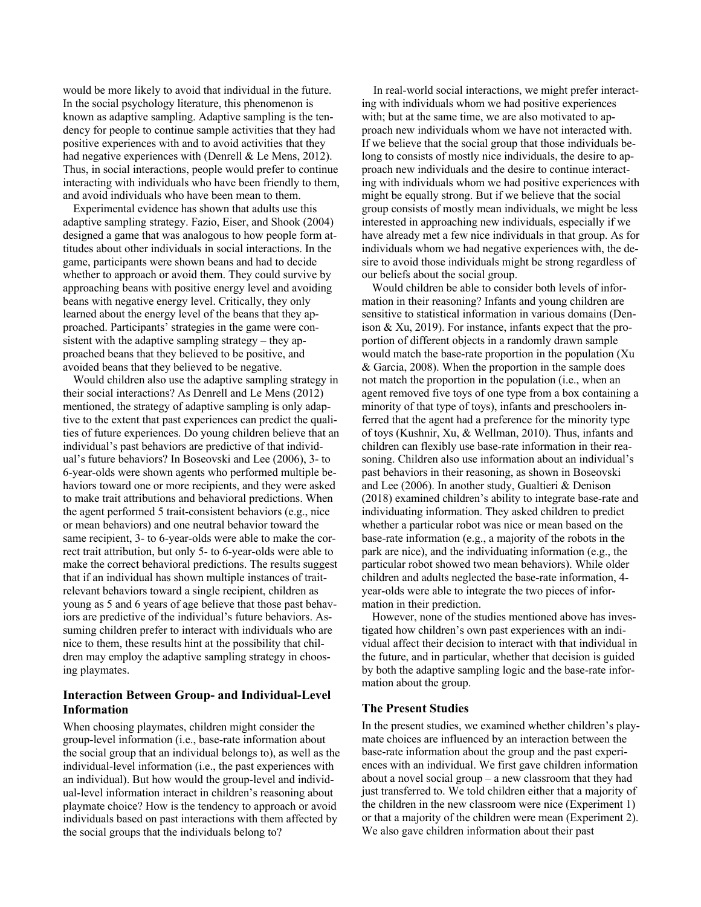would be more likely to avoid that individual in the future. In the social psychology literature, this phenomenon is known as adaptive sampling. Adaptive sampling is the tendency for people to continue sample activities that they had positive experiences with and to avoid activities that they had negative experiences with (Denrell & Le Mens, 2012). Thus, in social interactions, people would prefer to continue interacting with individuals who have been friendly to them, and avoid individuals who have been mean to them.

Experimental evidence has shown that adults use this adaptive sampling strategy. Fazio, Eiser, and Shook (2004) designed a game that was analogous to how people form attitudes about other individuals in social interactions. In the game, participants were shown beans and had to decide whether to approach or avoid them. They could survive by approaching beans with positive energy level and avoiding beans with negative energy level. Critically, they only learned about the energy level of the beans that they approached. Participants' strategies in the game were consistent with the adaptive sampling strategy – they approached beans that they believed to be positive, and avoided beans that they believed to be negative.

Would children also use the adaptive sampling strategy in their social interactions? As Denrell and Le Mens (2012) mentioned, the strategy of adaptive sampling is only adaptive to the extent that past experiences can predict the qualities of future experiences. Do young children believe that an individual's past behaviors are predictive of that individual's future behaviors? In Boseovski and Lee (2006), 3- to 6-year-olds were shown agents who performed multiple behaviors toward one or more recipients, and they were asked to make trait attributions and behavioral predictions. When the agent performed 5 trait-consistent behaviors (e.g., nice or mean behaviors) and one neutral behavior toward the same recipient, 3- to 6-year-olds were able to make the correct trait attribution, but only 5- to 6-year-olds were able to make the correct behavioral predictions. The results suggest that if an individual has shown multiple instances of traitrelevant behaviors toward a single recipient, children as young as 5 and 6 years of age believe that those past behaviors are predictive of the individual's future behaviors. Assuming children prefer to interact with individuals who are nice to them, these results hint at the possibility that children may employ the adaptive sampling strategy in choosing playmates.

# **Interaction Between Group- and Individual-Level Information**

When choosing playmates, children might consider the group-level information (i.e., base-rate information about the social group that an individual belongs to), as well as the individual-level information (i.e., the past experiences with an individual). But how would the group-level and individual-level information interact in children's reasoning about playmate choice? How is the tendency to approach or avoid individuals based on past interactions with them affected by the social groups that the individuals belong to?

In real-world social interactions, we might prefer interacting with individuals whom we had positive experiences with; but at the same time, we are also motivated to approach new individuals whom we have not interacted with. If we believe that the social group that those individuals belong to consists of mostly nice individuals, the desire to approach new individuals and the desire to continue interacting with individuals whom we had positive experiences with might be equally strong. But if we believe that the social group consists of mostly mean individuals, we might be less interested in approaching new individuals, especially if we have already met a few nice individuals in that group. As for individuals whom we had negative experiences with, the desire to avoid those individuals might be strong regardless of our beliefs about the social group.

Would children be able to consider both levels of information in their reasoning? Infants and young children are sensitive to statistical information in various domains (Denison & Xu, 2019). For instance, infants expect that the proportion of different objects in a randomly drawn sample would match the base-rate proportion in the population (Xu & Garcia, 2008). When the proportion in the sample does not match the proportion in the population (i.e., when an agent removed five toys of one type from a box containing a minority of that type of toys), infants and preschoolers inferred that the agent had a preference for the minority type of toys (Kushnir, Xu, & Wellman, 2010). Thus, infants and children can flexibly use base-rate information in their reasoning. Children also use information about an individual's past behaviors in their reasoning, as shown in Boseovski and Lee (2006). In another study, Gualtieri & Denison (2018) examined children's ability to integrate base-rate and individuating information. They asked children to predict whether a particular robot was nice or mean based on the base-rate information (e.g., a majority of the robots in the park are nice), and the individuating information (e.g., the particular robot showed two mean behaviors). While older children and adults neglected the base-rate information, 4 year-olds were able to integrate the two pieces of information in their prediction.

However, none of the studies mentioned above has investigated how children's own past experiences with an individual affect their decision to interact with that individual in the future, and in particular, whether that decision is guided by both the adaptive sampling logic and the base-rate information about the group.

### **The Present Studies**

In the present studies, we examined whether children's playmate choices are influenced by an interaction between the base-rate information about the group and the past experiences with an individual. We first gave children information about a novel social group – a new classroom that they had just transferred to. We told children either that a majority of the children in the new classroom were nice (Experiment 1) or that a majority of the children were mean (Experiment 2). We also gave children information about their past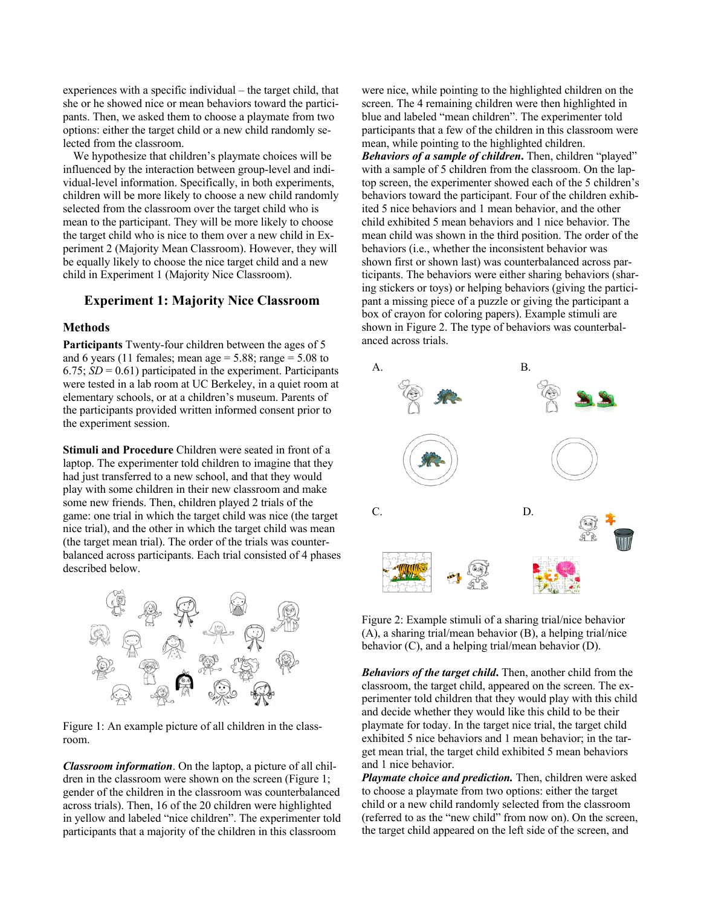experiences with a specific individual – the target child, that she or he showed nice or mean behaviors toward the participants. Then, we asked them to choose a playmate from two options: either the target child or a new child randomly selected from the classroom.

We hypothesize that children's playmate choices will be influenced by the interaction between group-level and individual-level information. Specifically, in both experiments, children will be more likely to choose a new child randomly selected from the classroom over the target child who is mean to the participant. They will be more likely to choose the target child who is nice to them over a new child in Experiment 2 (Majority Mean Classroom). However, they will be equally likely to choose the nice target child and a new child in Experiment 1 (Majority Nice Classroom).

# **Experiment 1: Majority Nice Classroom**

# **Methods**

**Participants** Twenty-four children between the ages of 5 and 6 years (11 females; mean age  $= 5.88$ ; range  $= 5.08$  to  $6.75$ ;  $SD = 0.61$ ) participated in the experiment. Participants were tested in a lab room at UC Berkeley, in a quiet room at elementary schools, or at a children's museum. Parents of the participants provided written informed consent prior to the experiment session.

**Stimuli and Procedure** Children were seated in front of a laptop. The experimenter told children to imagine that they had just transferred to a new school, and that they would play with some children in their new classroom and make some new friends. Then, children played 2 trials of the game: one trial in which the target child was nice (the target nice trial), and the other in which the target child was mean (the target mean trial). The order of the trials was counterbalanced across participants. Each trial consisted of 4 phases described below.



Figure 1: An example picture of all children in the classroom.

*Classroom information*. On the laptop, a picture of all children in the classroom were shown on the screen (Figure 1; gender of the children in the classroom was counterbalanced across trials). Then, 16 of the 20 children were highlighted in yellow and labeled "nice children". The experimenter told participants that a majority of the children in this classroom

were nice, while pointing to the highlighted children on the screen. The 4 remaining children were then highlighted in blue and labeled "mean children". The experimenter told participants that a few of the children in this classroom were mean, while pointing to the highlighted children. *Behaviors of a sample of children***.** Then, children "played" with a sample of 5 children from the classroom. On the laptop screen, the experimenter showed each of the 5 children's behaviors toward the participant. Four of the children exhibited 5 nice behaviors and 1 mean behavior, and the other child exhibited 5 mean behaviors and 1 nice behavior. The mean child was shown in the third position. The order of the behaviors (i.e., whether the inconsistent behavior was shown first or shown last) was counterbalanced across participants. The behaviors were either sharing behaviors (sharing stickers or toys) or helping behaviors (giving the participant a missing piece of a puzzle or giving the participant a box of crayon for coloring papers). Example stimuli are shown in Figure 2. The type of behaviors was counterbalanced across trials.



Figure 2: Example stimuli of a sharing trial/nice behavior (A), a sharing trial/mean behavior (B), a helping trial/nice behavior (C), and a helping trial/mean behavior (D).

*Behaviors of the target child***.** Then, another child from the classroom, the target child, appeared on the screen. The experimenter told children that they would play with this child and decide whether they would like this child to be their playmate for today. In the target nice trial, the target child exhibited 5 nice behaviors and 1 mean behavior; in the target mean trial, the target child exhibited 5 mean behaviors and 1 nice behavior.

*Playmate choice and prediction.* Then, children were asked to choose a playmate from two options: either the target child or a new child randomly selected from the classroom (referred to as the "new child" from now on). On the screen, the target child appeared on the left side of the screen, and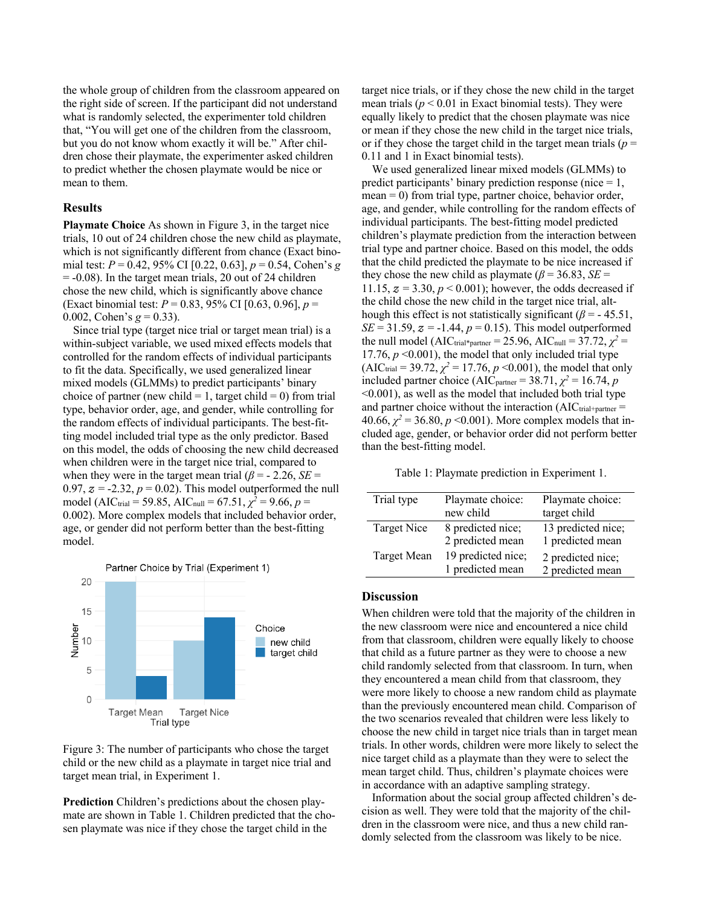the whole group of children from the classroom appeared on the right side of screen. If the participant did not understand what is randomly selected, the experimenter told children that, "You will get one of the children from the classroom, but you do not know whom exactly it will be." After children chose their playmate, the experimenter asked children to predict whether the chosen playmate would be nice or mean to them.

### **Results**

**Playmate Choice** As shown in Figure 3, in the target nice trials, 10 out of 24 children chose the new child as playmate, which is not significantly different from chance (Exact binomial test: *P* = 0.42, 95% CI [0.22, 0.63], *p* = 0.54, Cohen's *g* = -0.08). In the target mean trials, 20 out of 24 children chose the new child, which is significantly above chance (Exact binomial test: *P* = 0.83, 95% CI [0.63, 0.96], *p* = 0.002, Cohen's  $g = 0.33$ ).

Since trial type (target nice trial or target mean trial) is a within-subject variable, we used mixed effects models that controlled for the random effects of individual participants to fit the data. Specifically, we used generalized linear mixed models (GLMMs) to predict participants' binary choice of partner (new child = 1, target child = 0) from trial type, behavior order, age, and gender, while controlling for the random effects of individual participants. The best-fitting model included trial type as the only predictor. Based on this model, the odds of choosing the new child decreased when children were in the target nice trial, compared to when they were in the target mean trial  $(\beta = -2.26, SE =$ 0.97,  $z = -2.32$ ,  $p = 0.02$ ). This model outperformed the null model (AIC<sub>trial</sub> = 59.85, AIC<sub>null</sub> = 67.51,  $\chi^2$  = 9.66, *p* = 0.002). More complex models that included behavior order, age, or gender did not perform better than the best-fitting model.



Figure 3: The number of participants who chose the target child or the new child as a playmate in target nice trial and target mean trial, in Experiment 1.

**Prediction** Children's predictions about the chosen playmate are shown in Table 1. Children predicted that the chosen playmate was nice if they chose the target child in the

target nice trials, or if they chose the new child in the target mean trials  $(p < 0.01$  in Exact binomial tests). They were equally likely to predict that the chosen playmate was nice or mean if they chose the new child in the target nice trials, or if they chose the target child in the target mean trials ( $p =$ 0.11 and 1 in Exact binomial tests).

We used generalized linear mixed models (GLMMs) to predict participants' binary prediction response (nice  $= 1$ , mean = 0) from trial type, partner choice, behavior order, age, and gender, while controlling for the random effects of individual participants. The best-fitting model predicted children's playmate prediction from the interaction between trial type and partner choice. Based on this model, the odds that the child predicted the playmate to be nice increased if they chose the new child as playmate ( $\beta$  = 36.83, *SE* = 11.15,  $z = 3.30, p < 0.001$ ; however, the odds decreased if the child chose the new child in the target nice trial, although this effect is not statistically significant  $(\beta = -45.51,$ *SE* = 31.59,  $z = -1.44$ ,  $p = 0.15$ ). This model outperformed the null model (AIC<sub>trial\*partner</sub> = 25.96, AIC<sub>null</sub> = 37.72,  $\chi^2$  = 17.76,  $p \le 0.001$ ), the model that only included trial type  $(AIC_{trial} = 39.72, \chi^2 = 17.76, p \le 0.001)$ , the model that only included partner choice (AIC<sub>partner</sub> = 38.71,  $\chi^2$  = 16.74, *p* <0.001), as well as the model that included both trial type and partner choice without the interaction  $(AIC_{trial+partner} =$ 40.66,  $\chi^2$  = 36.80, *p* <0.001). More complex models that included age, gender, or behavior order did not perform better than the best-fitting model.

Table 1: Playmate prediction in Experiment 1.

| Trial type  | Playmate choice:                       | Playmate choice:                       |
|-------------|----------------------------------------|----------------------------------------|
|             | new child                              | target child                           |
| Target Nice | 8 predicted nice;<br>2 predicted mean  | 13 predicted nice;<br>1 predicted mean |
| Target Mean | 19 predicted nice;<br>1 predicted mean | 2 predicted nice;<br>2 predicted mean  |
|             |                                        |                                        |

### **Discussion**

When children were told that the majority of the children in the new classroom were nice and encountered a nice child from that classroom, children were equally likely to choose that child as a future partner as they were to choose a new child randomly selected from that classroom. In turn, when they encountered a mean child from that classroom, they were more likely to choose a new random child as playmate than the previously encountered mean child. Comparison of the two scenarios revealed that children were less likely to choose the new child in target nice trials than in target mean trials. In other words, children were more likely to select the nice target child as a playmate than they were to select the mean target child. Thus, children's playmate choices were in accordance with an adaptive sampling strategy.

Information about the social group affected children's decision as well. They were told that the majority of the children in the classroom were nice, and thus a new child randomly selected from the classroom was likely to be nice.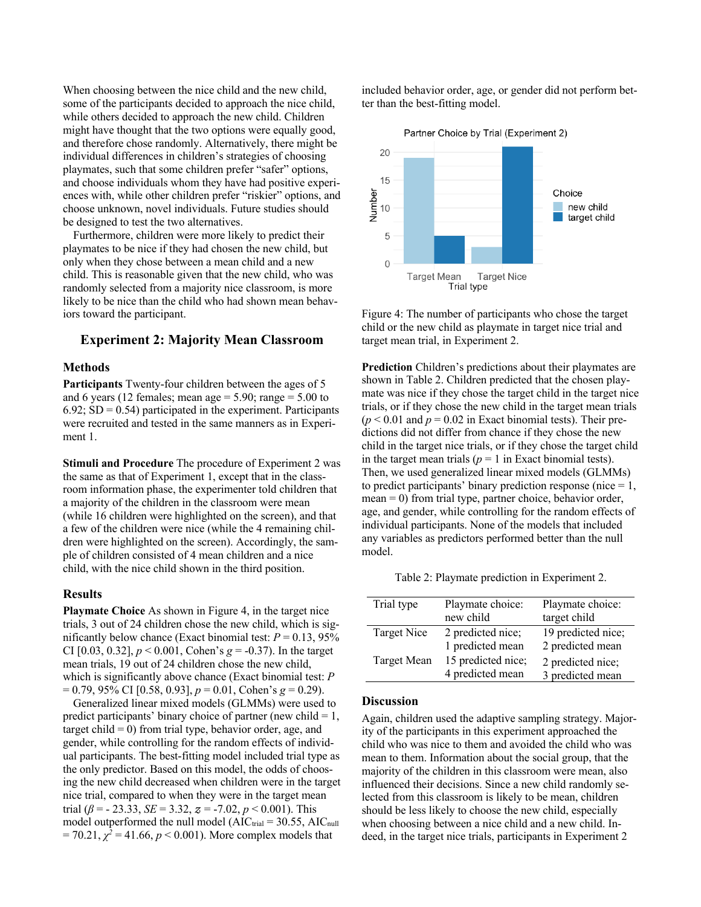When choosing between the nice child and the new child, some of the participants decided to approach the nice child, while others decided to approach the new child. Children might have thought that the two options were equally good, and therefore chose randomly. Alternatively, there might be individual differences in children's strategies of choosing playmates, such that some children prefer "safer" options, and choose individuals whom they have had positive experiences with, while other children prefer "riskier" options, and choose unknown, novel individuals. Future studies should be designed to test the two alternatives.

Furthermore, children were more likely to predict their playmates to be nice if they had chosen the new child, but only when they chose between a mean child and a new child. This is reasonable given that the new child, who was randomly selected from a majority nice classroom, is more likely to be nice than the child who had shown mean behaviors toward the participant.

# **Experiment 2: Majority Mean Classroom**

### **Methods**

**Participants** Twenty-four children between the ages of 5 and 6 years (12 females; mean age  $= 5.90$ ; range  $= 5.00$  to  $6.92$ ; SD = 0.54) participated in the experiment. Participants were recruited and tested in the same manners as in Experiment 1.

**Stimuli and Procedure** The procedure of Experiment 2 was the same as that of Experiment 1, except that in the classroom information phase, the experimenter told children that a majority of the children in the classroom were mean (while 16 children were highlighted on the screen), and that a few of the children were nice (while the 4 remaining children were highlighted on the screen). Accordingly, the sample of children consisted of 4 mean children and a nice child, with the nice child shown in the third position.

### **Results**

**Playmate Choice** As shown in Figure 4, in the target nice trials, 3 out of 24 children chose the new child, which is significantly below chance (Exact binomial test:  $P = 0.13, 95\%$ CI [0.03, 0.32], *p* < 0.001, Cohen's *g* = -0.37). In the target mean trials, 19 out of 24 children chose the new child, which is significantly above chance (Exact binomial test: *P* = 0.79, 95% CI [0.58, 0.93], *p* = 0.01, Cohen's *g* = 0.29).

Generalized linear mixed models (GLMMs) were used to predict participants' binary choice of partner (new child  $= 1$ , target child  $= 0$ ) from trial type, behavior order, age, and gender, while controlling for the random effects of individual participants. The best-fitting model included trial type as the only predictor. Based on this model, the odds of choosing the new child decreased when children were in the target nice trial, compared to when they were in the target mean trial ( $\beta$  = - 23.33, *SE* = 3.32,  $z$  = -7.02,  $p$  < 0.001). This model outperformed the null model  $(AIC_{trial} = 30.55, AIC_{null}$  $= 70.21, \chi^2 = 41.66, p < 0.001$ ). More complex models that

included behavior order, age, or gender did not perform better than the best-fitting model.



Figure 4: The number of participants who chose the target child or the new child as playmate in target nice trial and target mean trial, in Experiment 2.

**Prediction** Children's predictions about their playmates are shown in Table 2. Children predicted that the chosen playmate was nice if they chose the target child in the target nice trials, or if they chose the new child in the target mean trials  $(p < 0.01$  and  $p = 0.02$  in Exact binomial tests). Their predictions did not differ from chance if they chose the new child in the target nice trials, or if they chose the target child in the target mean trials ( $p = 1$  in Exact binomial tests). Then, we used generalized linear mixed models (GLMMs) to predict participants' binary prediction response (nice  $= 1$ ,  $mean = 0$ ) from trial type, partner choice, behavior order, age, and gender, while controlling for the random effects of individual participants. None of the models that included any variables as predictors performed better than the null model.

Table 2: Playmate prediction in Experiment 2.

| Trial type  | Playmate choice:<br>new child          | Playmate choice:<br>target child       |
|-------------|----------------------------------------|----------------------------------------|
| Target Nice | 2 predicted nice;<br>1 predicted mean  | 19 predicted nice;<br>2 predicted mean |
| Target Mean | 15 predicted nice;<br>4 predicted mean | 2 predicted nice;<br>3 predicted mean  |

#### **Discussion**

Again, children used the adaptive sampling strategy. Majority of the participants in this experiment approached the child who was nice to them and avoided the child who was mean to them. Information about the social group, that the majority of the children in this classroom were mean, also influenced their decisions. Since a new child randomly selected from this classroom is likely to be mean, children should be less likely to choose the new child, especially when choosing between a nice child and a new child. Indeed, in the target nice trials, participants in Experiment 2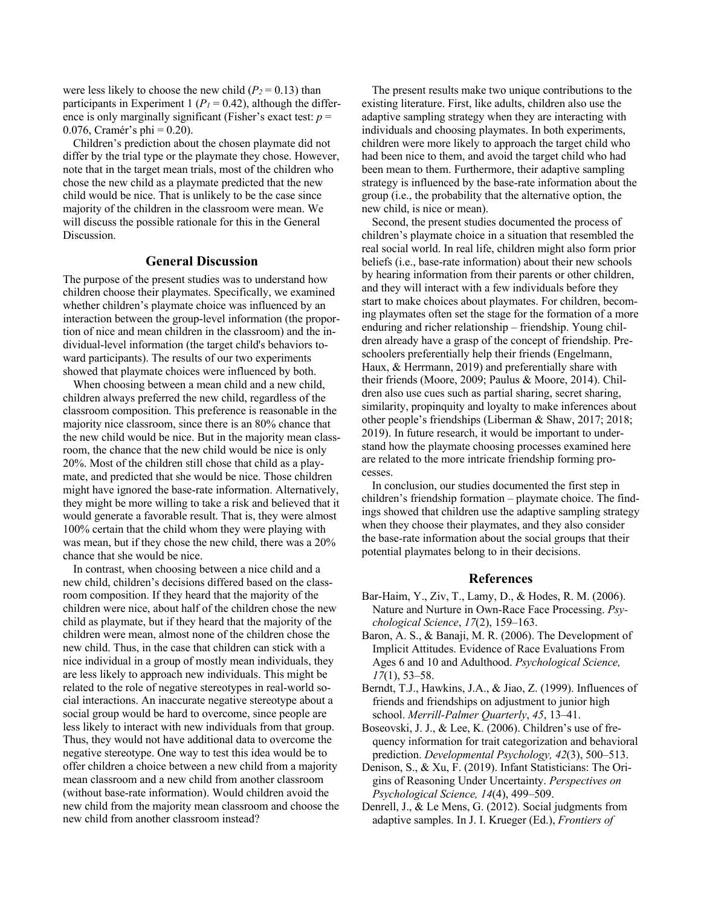were less likely to choose the new child  $(P_2 = 0.13)$  than participants in Experiment 1 ( $P<sub>1</sub> = 0.42$ ), although the difference is only marginally significant (Fisher's exact test:  $p =$ 0.076, Cramér's phi =  $0.20$ ).

Children's prediction about the chosen playmate did not differ by the trial type or the playmate they chose. However, note that in the target mean trials, most of the children who chose the new child as a playmate predicted that the new child would be nice. That is unlikely to be the case since majority of the children in the classroom were mean. We will discuss the possible rationale for this in the General Discussion.

### **General Discussion**

The purpose of the present studies was to understand how children choose their playmates. Specifically, we examined whether children's playmate choice was influenced by an interaction between the group-level information (the proportion of nice and mean children in the classroom) and the individual-level information (the target child's behaviors toward participants). The results of our two experiments showed that playmate choices were influenced by both.

When choosing between a mean child and a new child, children always preferred the new child, regardless of the classroom composition. This preference is reasonable in the majority nice classroom, since there is an 80% chance that the new child would be nice. But in the majority mean classroom, the chance that the new child would be nice is only 20%. Most of the children still chose that child as a playmate, and predicted that she would be nice. Those children might have ignored the base-rate information. Alternatively, they might be more willing to take a risk and believed that it would generate a favorable result. That is, they were almost 100% certain that the child whom they were playing with was mean, but if they chose the new child, there was a 20% chance that she would be nice.

In contrast, when choosing between a nice child and a new child, children's decisions differed based on the classroom composition. If they heard that the majority of the children were nice, about half of the children chose the new child as playmate, but if they heard that the majority of the children were mean, almost none of the children chose the new child. Thus, in the case that children can stick with a nice individual in a group of mostly mean individuals, they are less likely to approach new individuals. This might be related to the role of negative stereotypes in real-world social interactions. An inaccurate negative stereotype about a social group would be hard to overcome, since people are less likely to interact with new individuals from that group. Thus, they would not have additional data to overcome the negative stereotype. One way to test this idea would be to offer children a choice between a new child from a majority mean classroom and a new child from another classroom (without base-rate information). Would children avoid the new child from the majority mean classroom and choose the new child from another classroom instead?

The present results make two unique contributions to the existing literature. First, like adults, children also use the adaptive sampling strategy when they are interacting with individuals and choosing playmates. In both experiments, children were more likely to approach the target child who had been nice to them, and avoid the target child who had been mean to them. Furthermore, their adaptive sampling strategy is influenced by the base-rate information about the group (i.e., the probability that the alternative option, the new child, is nice or mean).

Second, the present studies documented the process of children's playmate choice in a situation that resembled the real social world. In real life, children might also form prior beliefs (i.e., base-rate information) about their new schools by hearing information from their parents or other children, and they will interact with a few individuals before they start to make choices about playmates. For children, becoming playmates often set the stage for the formation of a more enduring and richer relationship – friendship. Young children already have a grasp of the concept of friendship. Preschoolers preferentially help their friends (Engelmann, Haux, & Herrmann, 2019) and preferentially share with their friends (Moore, 2009; Paulus & Moore, 2014). Children also use cues such as partial sharing, secret sharing, similarity, propinquity and loyalty to make inferences about other people's friendships (Liberman & Shaw, 2017; 2018; 2019). In future research, it would be important to understand how the playmate choosing processes examined here are related to the more intricate friendship forming processes.

In conclusion, our studies documented the first step in children's friendship formation – playmate choice. The findings showed that children use the adaptive sampling strategy when they choose their playmates, and they also consider the base-rate information about the social groups that their potential playmates belong to in their decisions.

### **References**

- Bar-Haim, Y., Ziv, T., Lamy, D., & Hodes, R. M. (2006). Nature and Nurture in Own-Race Face Processing. *Psychological Science*, *17*(2), 159–163.
- Baron, A. S., & Banaji, M. R. (2006). The Development of Implicit Attitudes. Evidence of Race Evaluations From Ages 6 and 10 and Adulthood. *Psychological Science, 17*(1), 53–58.
- Berndt, T.J., Hawkins, J.A., & Jiao, Z. (1999). Influences of friends and friendships on adjustment to junior high school. *Merrill-Palmer Quarterly*, *45*, 13–41.
- Boseovski, J. J., & Lee, K. (2006). Children's use of frequency information for trait categorization and behavioral prediction. *Developmental Psychology, 42*(3), 500–513.
- Denison, S., & Xu, F. (2019). Infant Statisticians: The Origins of Reasoning Under Uncertainty. *Perspectives on Psychological Science, 14*(4), 499–509.
- Denrell, J., & Le Mens, G. (2012). Social judgments from adaptive samples. In J. I. Krueger (Ed.), *Frontiers of*